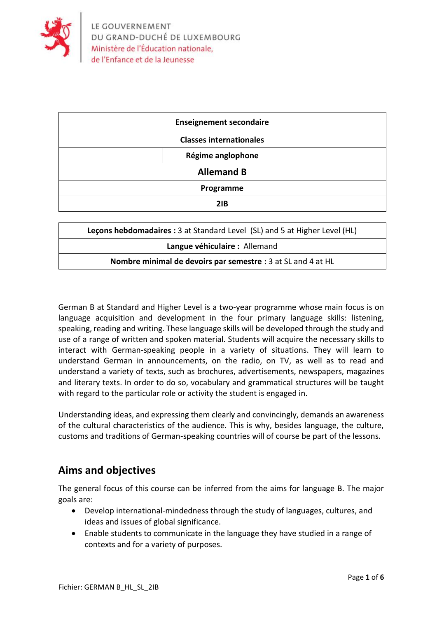

| <b>Enseignement secondaire</b> |
|--------------------------------|
| <b>Classes internationales</b> |
| Régime anglophone              |
| <b>Allemand B</b>              |
| Programme                      |
| 2IB                            |

| Lecons hebdomadaires : 3 at Standard Level (SL) and 5 at Higher Level (HL) |  |  |
|----------------------------------------------------------------------------|--|--|
| Langue véhiculaire : Allemand                                              |  |  |
| Nombre minimal de devoirs par semestre : 3 at SL and 4 at HL               |  |  |

German B at Standard and Higher Level is a two-year programme whose main focus is on language acquisition and development in the four primary language skills: listening, speaking, reading and writing. These language skills will be developed through the study and use of a range of written and spoken material. Students will acquire the necessary skills to interact with German-speaking people in a variety of situations. They will learn to understand German in announcements, on the radio, on TV, as well as to read and understand a variety of texts, such as brochures, advertisements, newspapers, magazines and literary texts. In order to do so, vocabulary and grammatical structures will be taught with regard to the particular role or activity the student is engaged in.

Understanding ideas, and expressing them clearly and convincingly, demands an awareness of the cultural characteristics of the audience. This is why, besides language, the culture, customs and traditions of German-speaking countries will of course be part of the lessons.

## **Aims and objectives**

The general focus of this course can be inferred from the aims for language B. The major goals are:

- Develop international-mindedness through the study of languages, cultures, and ideas and issues of global significance.
- Enable students to communicate in the language they have studied in a range of contexts and for a variety of purposes.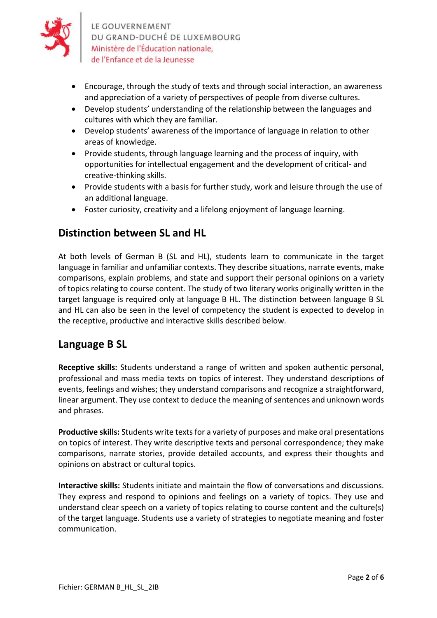

LE GOUVERNEMENT DU GRAND-DUCHÉ DE LUXEMBOURG Ministère de l'Éducation nationale, de l'Enfance et de la Jeunesse

- Encourage, through the study of texts and through social interaction, an awareness and appreciation of a variety of perspectives of people from diverse cultures.
- Develop students' understanding of the relationship between the languages and cultures with which they are familiar.
- Develop students' awareness of the importance of language in relation to other areas of knowledge.
- Provide students, through language learning and the process of inquiry, with opportunities for intellectual engagement and the development of critical- and creative-thinking skills.
- Provide students with a basis for further study, work and leisure through the use of an additional language.
- Foster curiosity, creativity and a lifelong enjoyment of language learning.

#### **Distinction between SL and HL**

At both levels of German B (SL and HL), students learn to communicate in the target language in familiar and unfamiliar contexts. They describe situations, narrate events, make comparisons, explain problems, and state and support their personal opinions on a variety of topics relating to course content. The study of two literary works originally written in the target language is required only at language B HL. The distinction between language B SL and HL can also be seen in the level of competency the student is expected to develop in the receptive, productive and interactive skills described below.

### **Language B SL**

**Receptive skills:** Students understand a range of written and spoken authentic personal, professional and mass media texts on topics of interest. They understand descriptions of events, feelings and wishes; they understand comparisons and recognize a straightforward, linear argument. They use context to deduce the meaning of sentences and unknown words and phrases.

**Productive skills:** Students write texts for a variety of purposes and make oral presentations on topics of interest. They write descriptive texts and personal correspondence; they make comparisons, narrate stories, provide detailed accounts, and express their thoughts and opinions on abstract or cultural topics.

**Interactive skills:** Students initiate and maintain the flow of conversations and discussions. They express and respond to opinions and feelings on a variety of topics. They use and understand clear speech on a variety of topics relating to course content and the culture(s) of the target language. Students use a variety of strategies to negotiate meaning and foster communication.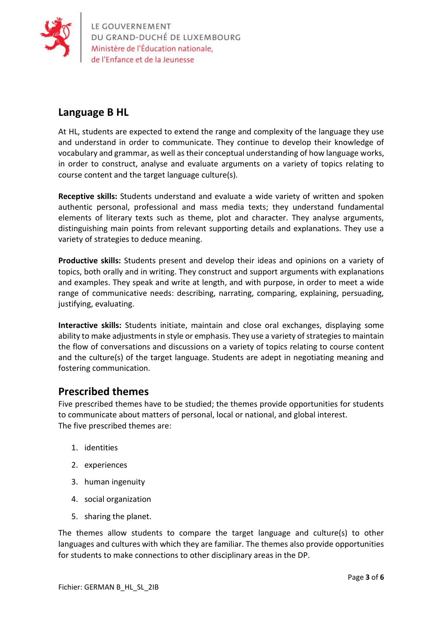

LE GOUVERNEMENT<br>DU GRAND-DUCHÉ DE LUXEMBOURG<br>Ministère de l'Éducation nationale,

# **Language B HL**

At HL, students are expected to extend the range and complexity of the language they use and understand in order to communicate. They continue to develop their knowledge of vocabulary and grammar, as well as their conceptual understanding of how language works, in order to construct, analyse and evaluate arguments on a variety of topics relating to course content and the target language culture(s).

**Receptive skills:** Students understand and evaluate a wide variety of written and spoken authentic personal, professional and mass media texts; they understand fundamental elements of literary texts such as theme, plot and character. They analyse arguments, distinguishing main points from relevant supporting details and explanations. They use a variety of strategies to deduce meaning.

**Productive skills:** Students present and develop their ideas and opinions on a variety of topics, both orally and in writing. They construct and support arguments with explanations and examples. They speak and write at length, and with purpose, in order to meet a wide range of communicative needs: describing, narrating, comparing, explaining, persuading, justifying, evaluating.

**Interactive skills:** Students initiate, maintain and close oral exchanges, displaying some ability to make adjustments in style or emphasis. They use a variety of strategies to maintain the flow of conversations and discussions on a variety of topics relating to course content and the culture(s) of the target language. Students are adept in negotiating meaning and fostering communication.

### **Prescribed themes**

Five prescribed themes have to be studied; the themes provide opportunities for students to communicate about matters of personal, local or national, and global interest. The five prescribed themes are:

- 1. identities
- 2. experiences
- 3. human ingenuity
- 4. social organization
- 5. sharing the planet.

The themes allow students to compare the target language and culture(s) to other languages and cultures with which they are familiar. The themes also provide opportunities for students to make connections to other disciplinary areas in the DP.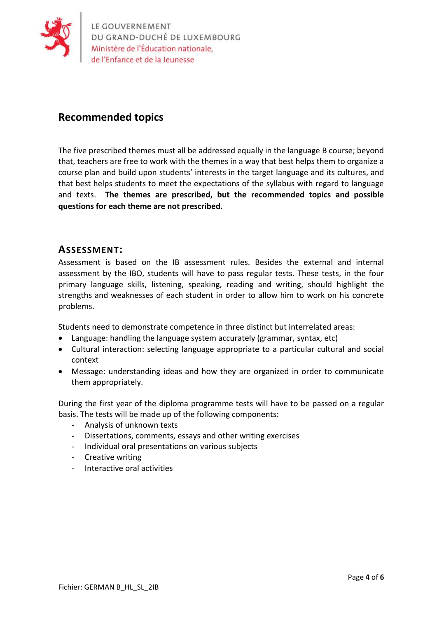

### **Recommended topics**

The five prescribed themes must all be addressed equally in the language B course; beyond that, teachers are free to work with the themes in a way that best helps them to organize a course plan and build upon students' interests in the target language and its cultures, and that best helps students to meet the expectations of the syllabus with regard to language and texts. **The themes are prescribed, but the recommended topics and possible questions for each theme are not prescribed.**

#### **ASSESSMENT:**

Assessment is based on the IB assessment rules. Besides the external and internal assessment by the IBO, students will have to pass regular tests. These tests, in the four primary language skills, listening, speaking, reading and writing, should highlight the strengths and weaknesses of each student in order to allow him to work on his concrete problems.

Students need to demonstrate competence in three distinct but interrelated areas:

- Language: handling the language system accurately (grammar, syntax, etc)
- Cultural interaction: selecting language appropriate to a particular cultural and social context
- Message: understanding ideas and how they are organized in order to communicate them appropriately.

During the first year of the diploma programme tests will have to be passed on a regular basis. The tests will be made up of the following components:

- Analysis of unknown texts
- Dissertations, comments, essays and other writing exercises
- Individual oral presentations on various subjects
- Creative writing
- Interactive oral activities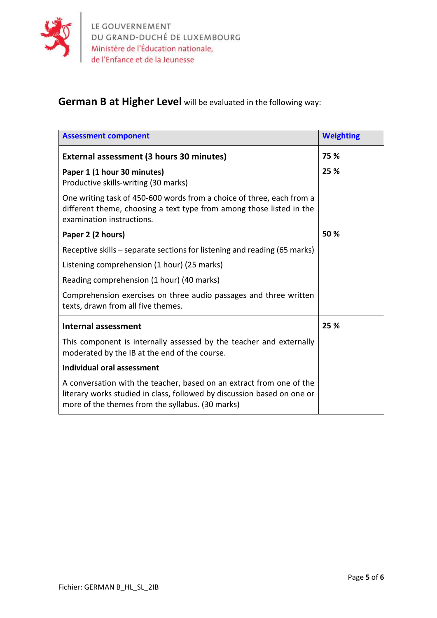

# **German B at Higher Level** will be evaluated in the following way:

| <b>Assessment component</b>                                                                                                                                                                         | <b>Weighting</b> |
|-----------------------------------------------------------------------------------------------------------------------------------------------------------------------------------------------------|------------------|
| External assessment (3 hours 30 minutes)                                                                                                                                                            | 75 %             |
| Paper 1 (1 hour 30 minutes)<br>Productive skills-writing (30 marks)                                                                                                                                 | 25 %             |
| One writing task of 450-600 words from a choice of three, each from a<br>different theme, choosing a text type from among those listed in the<br>examination instructions.                          |                  |
| Paper 2 (2 hours)                                                                                                                                                                                   | 50 %             |
| Receptive skills – separate sections for listening and reading (65 marks)                                                                                                                           |                  |
| Listening comprehension (1 hour) (25 marks)                                                                                                                                                         |                  |
| Reading comprehension (1 hour) (40 marks)                                                                                                                                                           |                  |
| Comprehension exercises on three audio passages and three written<br>texts, drawn from all five themes.                                                                                             |                  |
| <b>Internal assessment</b>                                                                                                                                                                          | 25 %             |
| This component is internally assessed by the teacher and externally<br>moderated by the IB at the end of the course.                                                                                |                  |
| Individual oral assessment                                                                                                                                                                          |                  |
| A conversation with the teacher, based on an extract from one of the<br>literary works studied in class, followed by discussion based on one or<br>more of the themes from the syllabus. (30 marks) |                  |